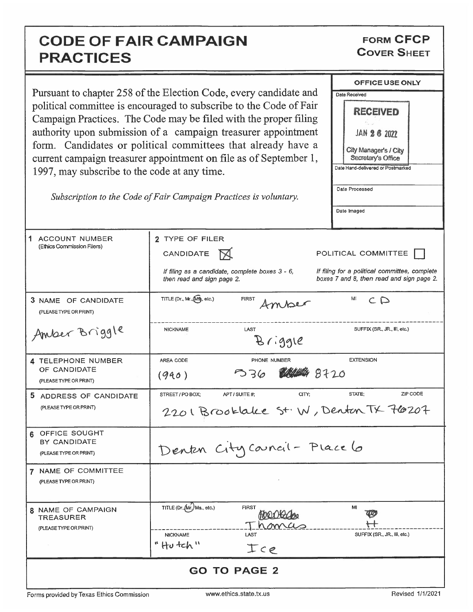## CODE OF FAIR CAMPAIGN PRACTICES

FORM CFCP **COVER SHEET** 

|                                                                                                                                                                                                                                                                              |                                                 | <b>OFFICE USE ONLY</b>                        |
|------------------------------------------------------------------------------------------------------------------------------------------------------------------------------------------------------------------------------------------------------------------------------|-------------------------------------------------|-----------------------------------------------|
| Pursuant to chapter 258 of the Election Code, every candidate and<br>political committee is encouraged to subscribe to the Code of Fair<br>Campaign Practices. The Code may be filed with the proper filing<br>authority upon submission of a campaign treasurer appointment |                                                 | Date Received                                 |
|                                                                                                                                                                                                                                                                              |                                                 |                                               |
|                                                                                                                                                                                                                                                                              |                                                 | <b>RECEIVED</b>                               |
|                                                                                                                                                                                                                                                                              |                                                 |                                               |
|                                                                                                                                                                                                                                                                              |                                                 | JAN 2 6 2022                                  |
| form. Candidates or political committees that already have a                                                                                                                                                                                                                 |                                                 | City Manager's / City                         |
| current campaign treasurer appointment on file as of September 1,                                                                                                                                                                                                            |                                                 | Secretary's Office                            |
| 1997, may subscribe to the code at any time.                                                                                                                                                                                                                                 |                                                 | Date Hand-delivered or Postmarked             |
|                                                                                                                                                                                                                                                                              |                                                 | Date Processed                                |
| Subscription to the Code of Fair Campaign Practices is voluntary.                                                                                                                                                                                                            |                                                 |                                               |
|                                                                                                                                                                                                                                                                              |                                                 | Date Imaged                                   |
|                                                                                                                                                                                                                                                                              |                                                 |                                               |
| 1<br>ACCOUNT NUMBER                                                                                                                                                                                                                                                          | 2 TYPE OF FILER                                 |                                               |
| (Ethics Commission Filers)                                                                                                                                                                                                                                                   | CANDIDATE                                       | POLITICAL COMMITTEE                           |
|                                                                                                                                                                                                                                                                              | If filing as a candidate, complete boxes 3 - 6, | If filing for a political committee, complete |
|                                                                                                                                                                                                                                                                              | then read and sign page 2.                      | boxes 7 and 8, then read and sign page 2.     |
| TITLE (Dr., Mr., MS), etc.)<br>MI<br><b>FIRST</b><br>CD<br>3 NAME OF CANDIDATE                                                                                                                                                                                               |                                                 |                                               |
| (PLEASE TYPE OR PRINT)                                                                                                                                                                                                                                                       |                                                 |                                               |
|                                                                                                                                                                                                                                                                              |                                                 |                                               |
| Amber Briggle                                                                                                                                                                                                                                                                | LAST<br><b>NICKNAME</b>                         | SUFFIX (SR., JR., III, etc.)                  |
|                                                                                                                                                                                                                                                                              | $B \wedge g g_1 e$                              |                                               |
| <b>EXTENSION</b><br>AREA CODE<br>PHONE NUMBER<br>4 TELEPHONE NUMBER<br>OF CANDIDATE<br>8720<br><b>336</b><br>(940)                                                                                                                                                           |                                                 |                                               |
|                                                                                                                                                                                                                                                                              |                                                 |                                               |
| (PLEASE TYPE OR PRINT)                                                                                                                                                                                                                                                       |                                                 |                                               |
| 5 ADDRESS OF CANDIDATE<br>(PLEASE TYPE OR PRINT)                                                                                                                                                                                                                             | STREET / PO BOX:<br>APT / SUITE #;<br>CITY;     | STATE;<br>ZIP CODE                            |
|                                                                                                                                                                                                                                                                              | 2201 Brooklake St. W, Denton TX 76207           |                                               |
| 6 OFFICE SOUGHT                                                                                                                                                                                                                                                              |                                                 |                                               |
| BY CANDIDATE                                                                                                                                                                                                                                                                 | Denten City carrail-Place 6                     |                                               |
| (PLEASE TYPE OR PRINT)                                                                                                                                                                                                                                                       |                                                 |                                               |
| 7 NAME OF COMMITTEE                                                                                                                                                                                                                                                          |                                                 |                                               |
| (PLEASE TYPE OR PRINT)                                                                                                                                                                                                                                                       |                                                 |                                               |
|                                                                                                                                                                                                                                                                              |                                                 |                                               |
| <b>8 NAME OF CAMPAIGN</b>                                                                                                                                                                                                                                                    | TITLE (Dr. (Mr.) Ms., etc.)<br><b>FIRST</b>     | MI                                            |
| <b>TREASURER</b>                                                                                                                                                                                                                                                             |                                                 |                                               |
| (PLEASE TYPE OR PRINT)                                                                                                                                                                                                                                                       | LAST<br><b>NICKNAME</b>                         | SUFFIX (SR., JR., III, etc.)                  |
|                                                                                                                                                                                                                                                                              | " Hu tch"<br>Ice                                |                                               |
| <b>GO TO PAGE 2</b>                                                                                                                                                                                                                                                          |                                                 |                                               |
|                                                                                                                                                                                                                                                                              |                                                 |                                               |